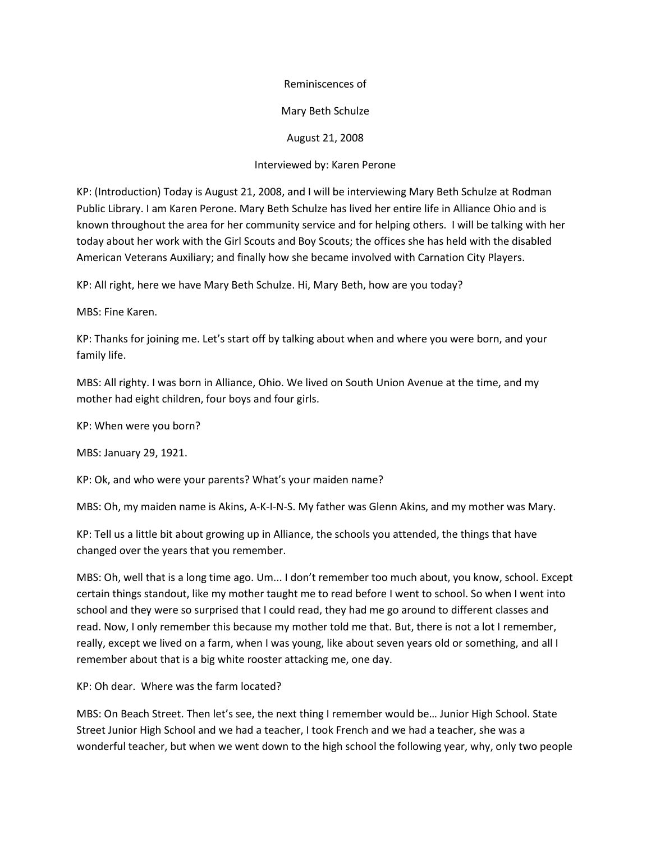## Reminiscences of

## Mary Beth Schulze

August 21, 2008

## Interviewed by: Karen Perone

KP: (Introduction) Today is August 21, 2008, and I will be interviewing Mary Beth Schulze at Rodman Public Library. I am Karen Perone. Mary Beth Schulze has lived her entire life in Alliance Ohio and is known throughout the area for her community service and for helping others. I will be talking with her today about her work with the Girl Scouts and Boy Scouts; the offices she has held with the disabled American Veterans Auxiliary; and finally how she became involved with Carnation City Players.

KP: All right, here we have Mary Beth Schulze. Hi, Mary Beth, how are you today?

MBS: Fine Karen.

KP: Thanks for joining me. Let's start off by talking about when and where you were born, and your family life.

MBS: All righty. I was born in Alliance, Ohio. We lived on South Union Avenue at the time, and my mother had eight children, four boys and four girls.

KP: When were you born?

MBS: January 29, 1921.

KP: Ok, and who were your parents? What's your maiden name?

MBS: Oh, my maiden name is Akins, A-K-I-N-S. My father was Glenn Akins, and my mother was Mary.

KP: Tell us a little bit about growing up in Alliance, the schools you attended, the things that have changed over the years that you remember.

MBS: Oh, well that is a long time ago. Um... I don't remember too much about, you know, school. Except certain things standout, like my mother taught me to read before I went to school. So when I went into school and they were so surprised that I could read, they had me go around to different classes and read. Now, I only remember this because my mother told me that. But, there is not a lot I remember, really, except we lived on a farm, when I was young, like about seven years old or something, and all I remember about that is a big white rooster attacking me, one day.

KP: Oh dear. Where was the farm located?

MBS: On Beach Street. Then let's see, the next thing I remember would be… Junior High School. State Street Junior High School and we had a teacher, I took French and we had a teacher, she was a wonderful teacher, but when we went down to the high school the following year, why, only two people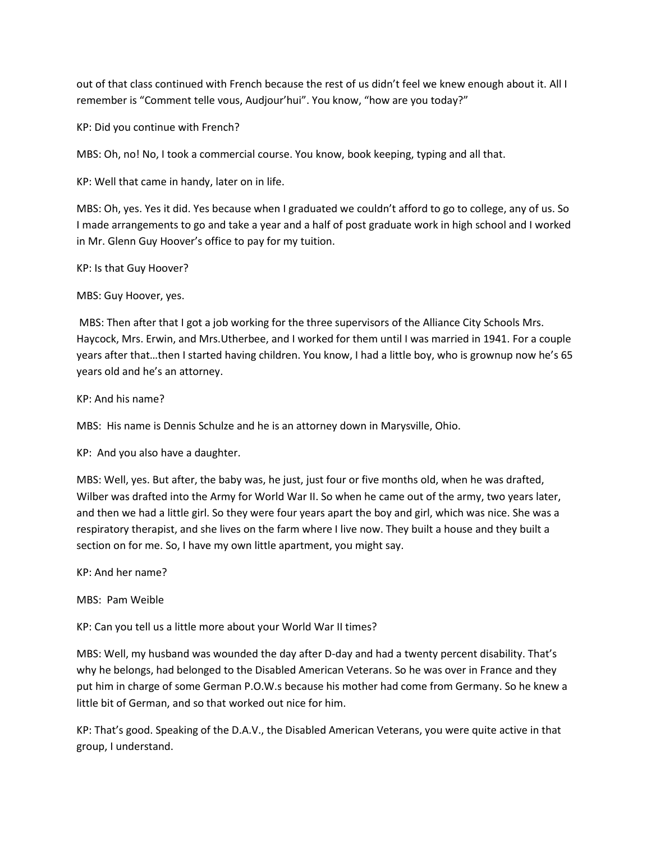out of that class continued with French because the rest of us didn't feel we knew enough about it. All I remember is "Comment telle vous, Audjour'hui". You know, "how are you today?"

KP: Did you continue with French?

MBS: Oh, no! No, I took a commercial course. You know, book keeping, typing and all that.

KP: Well that came in handy, later on in life.

MBS: Oh, yes. Yes it did. Yes because when I graduated we couldn't afford to go to college, any of us. So I made arrangements to go and take a year and a half of post graduate work in high school and I worked in Mr. Glenn Guy Hoover's office to pay for my tuition.

KP: Is that Guy Hoover?

MBS: Guy Hoover, yes.

MBS: Then after that I got a job working for the three supervisors of the Alliance City Schools Mrs. Haycock, Mrs. Erwin, and Mrs.Utherbee, and I worked for them until I was married in 1941. For a couple years after that…then I started having children. You know, I had a little boy, who is grownup now he's 65 years old and he's an attorney.

# KP: And his name?

MBS: His name is Dennis Schulze and he is an attorney down in Marysville, Ohio.

KP: And you also have a daughter.

MBS: Well, yes. But after, the baby was, he just, just four or five months old, when he was drafted, Wilber was drafted into the Army for World War II. So when he came out of the army, two years later, and then we had a little girl. So they were four years apart the boy and girl, which was nice. She was a respiratory therapist, and she lives on the farm where I live now. They built a house and they built a section on for me. So, I have my own little apartment, you might say.

KP: And her name?

# MBS: Pam Weible

KP: Can you tell us a little more about your World War II times?

MBS: Well, my husband was wounded the day after D-day and had a twenty percent disability. That's why he belongs, had belonged to the Disabled American Veterans. So he was over in France and they put him in charge of some German P.O.W.s because his mother had come from Germany. So he knew a little bit of German, and so that worked out nice for him.

KP: That's good. Speaking of the D.A.V., the Disabled American Veterans, you were quite active in that group, I understand.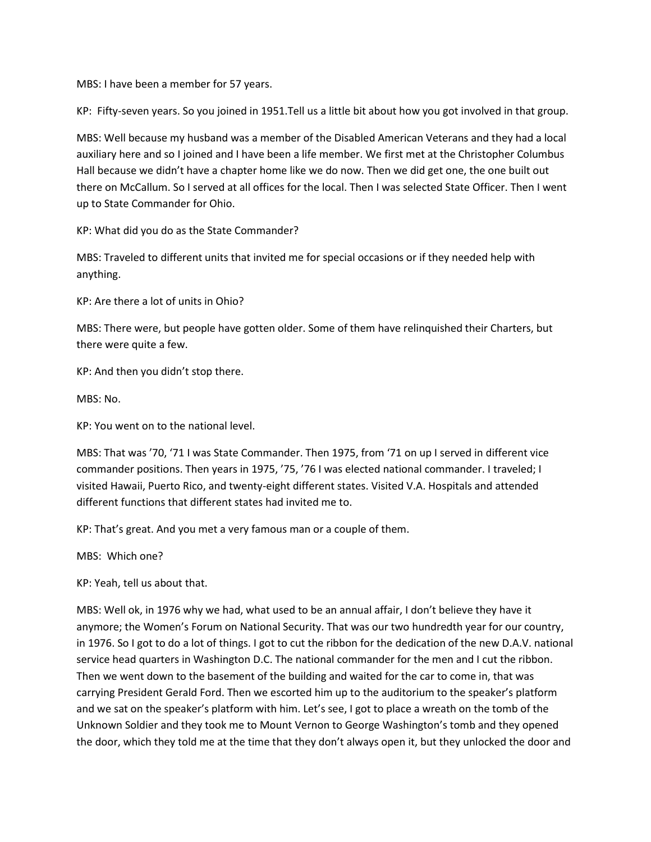MBS: I have been a member for 57 years.

KP: Fifty-seven years. So you joined in 1951.Tell us a little bit about how you got involved in that group.

MBS: Well because my husband was a member of the Disabled American Veterans and they had a local auxiliary here and so I joined and I have been a life member. We first met at the Christopher Columbus Hall because we didn't have a chapter home like we do now. Then we did get one, the one built out there on McCallum. So I served at all offices for the local. Then I was selected State Officer. Then I went up to State Commander for Ohio.

KP: What did you do as the State Commander?

MBS: Traveled to different units that invited me for special occasions or if they needed help with anything.

KP: Are there a lot of units in Ohio?

MBS: There were, but people have gotten older. Some of them have relinquished their Charters, but there were quite a few.

KP: And then you didn't stop there.

MBS: No.

KP: You went on to the national level.

MBS: That was '70, '71 I was State Commander. Then 1975, from '71 on up I served in different vice commander positions. Then years in 1975, '75, '76 I was elected national commander. I traveled; I visited Hawaii, Puerto Rico, and twenty-eight different states. Visited V.A. Hospitals and attended different functions that different states had invited me to.

KP: That's great. And you met a very famous man or a couple of them.

MBS: Which one?

KP: Yeah, tell us about that.

MBS: Well ok, in 1976 why we had, what used to be an annual affair, I don't believe they have it anymore; the Women's Forum on National Security. That was our two hundredth year for our country, in 1976. So I got to do a lot of things. I got to cut the ribbon for the dedication of the new D.A.V. national service head quarters in Washington D.C. The national commander for the men and I cut the ribbon. Then we went down to the basement of the building and waited for the car to come in, that was carrying President Gerald Ford. Then we escorted him up to the auditorium to the speaker's platform and we sat on the speaker's platform with him. Let's see, I got to place a wreath on the tomb of the Unknown Soldier and they took me to Mount Vernon to George Washington's tomb and they opened the door, which they told me at the time that they don't always open it, but they unlocked the door and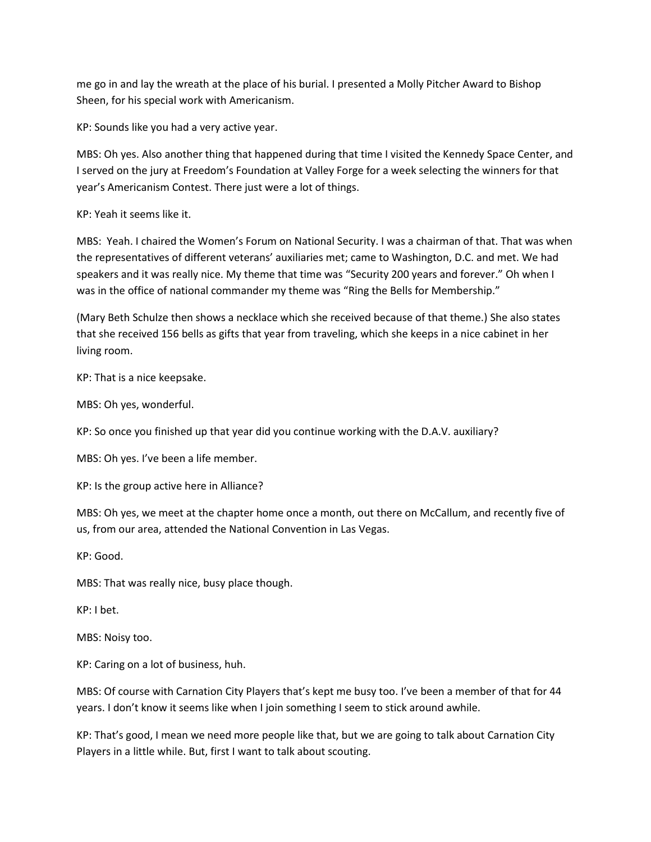me go in and lay the wreath at the place of his burial. I presented a Molly Pitcher Award to Bishop Sheen, for his special work with Americanism.

KP: Sounds like you had a very active year.

MBS: Oh yes. Also another thing that happened during that time I visited the Kennedy Space Center, and I served on the jury at Freedom's Foundation at Valley Forge for a week selecting the winners for that year's Americanism Contest. There just were a lot of things.

KP: Yeah it seems like it.

MBS: Yeah. I chaired the Women's Forum on National Security. I was a chairman of that. That was when the representatives of different veterans' auxiliaries met; came to Washington, D.C. and met. We had speakers and it was really nice. My theme that time was "Security 200 years and forever." Oh when I was in the office of national commander my theme was "Ring the Bells for Membership."

(Mary Beth Schulze then shows a necklace which she received because of that theme.) She also states that she received 156 bells as gifts that year from traveling, which she keeps in a nice cabinet in her living room.

KP: That is a nice keepsake.

MBS: Oh yes, wonderful.

KP: So once you finished up that year did you continue working with the D.A.V. auxiliary?

MBS: Oh yes. I've been a life member.

KP: Is the group active here in Alliance?

MBS: Oh yes, we meet at the chapter home once a month, out there on McCallum, and recently five of us, from our area, attended the National Convention in Las Vegas.

KP: Good.

MBS: That was really nice, busy place though.

KP: I bet.

MBS: Noisy too.

KP: Caring on a lot of business, huh.

MBS: Of course with Carnation City Players that's kept me busy too. I've been a member of that for 44 years. I don't know it seems like when I join something I seem to stick around awhile.

KP: That's good, I mean we need more people like that, but we are going to talk about Carnation City Players in a little while. But, first I want to talk about scouting.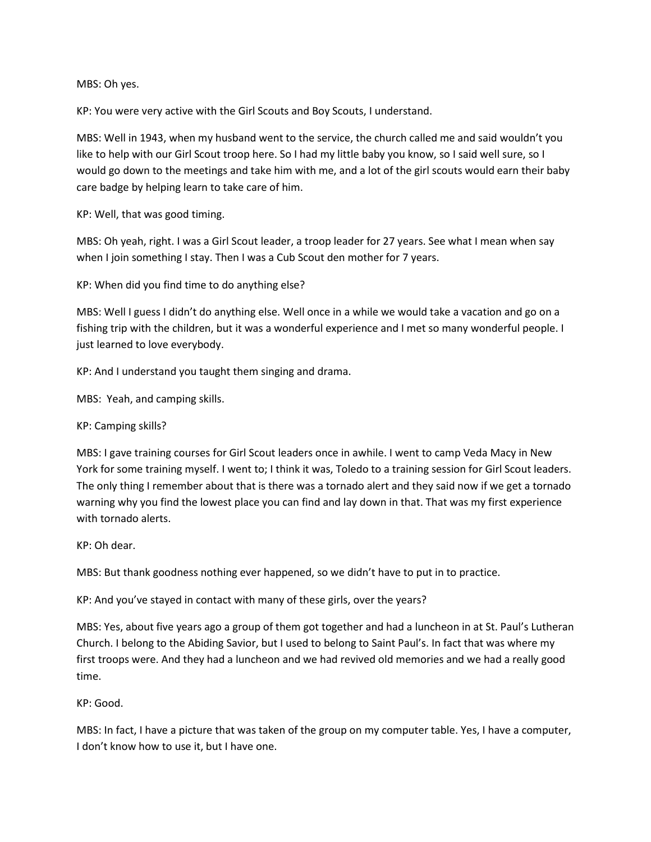MBS: Oh yes.

KP: You were very active with the Girl Scouts and Boy Scouts, I understand.

MBS: Well in 1943, when my husband went to the service, the church called me and said wouldn't you like to help with our Girl Scout troop here. So I had my little baby you know, so I said well sure, so I would go down to the meetings and take him with me, and a lot of the girl scouts would earn their baby care badge by helping learn to take care of him.

KP: Well, that was good timing.

MBS: Oh yeah, right. I was a Girl Scout leader, a troop leader for 27 years. See what I mean when say when I join something I stay. Then I was a Cub Scout den mother for 7 years.

KP: When did you find time to do anything else?

MBS: Well I guess I didn't do anything else. Well once in a while we would take a vacation and go on a fishing trip with the children, but it was a wonderful experience and I met so many wonderful people. I just learned to love everybody.

KP: And I understand you taught them singing and drama.

MBS: Yeah, and camping skills.

KP: Camping skills?

MBS: I gave training courses for Girl Scout leaders once in awhile. I went to camp Veda Macy in New York for some training myself. I went to; I think it was, Toledo to a training session for Girl Scout leaders. The only thing I remember about that is there was a tornado alert and they said now if we get a tornado warning why you find the lowest place you can find and lay down in that. That was my first experience with tornado alerts.

KP: Oh dear.

MBS: But thank goodness nothing ever happened, so we didn't have to put in to practice.

KP: And you've stayed in contact with many of these girls, over the years?

MBS: Yes, about five years ago a group of them got together and had a luncheon in at St. Paul's Lutheran Church. I belong to the Abiding Savior, but I used to belong to Saint Paul's. In fact that was where my first troops were. And they had a luncheon and we had revived old memories and we had a really good time.

KP: Good.

MBS: In fact, I have a picture that was taken of the group on my computer table. Yes, I have a computer, I don't know how to use it, but I have one.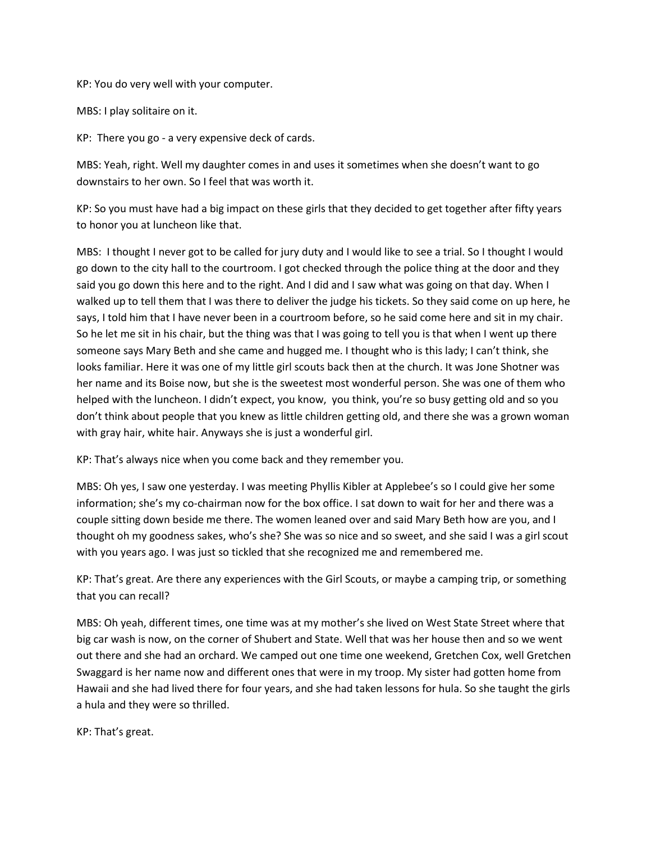KP: You do very well with your computer.

MBS: I play solitaire on it.

KP: There you go - a very expensive deck of cards.

MBS: Yeah, right. Well my daughter comes in and uses it sometimes when she doesn't want to go downstairs to her own. So I feel that was worth it.

KP: So you must have had a big impact on these girls that they decided to get together after fifty years to honor you at luncheon like that.

MBS: I thought I never got to be called for jury duty and I would like to see a trial. So I thought I would go down to the city hall to the courtroom. I got checked through the police thing at the door and they said you go down this here and to the right. And I did and I saw what was going on that day. When I walked up to tell them that I was there to deliver the judge his tickets. So they said come on up here, he says, I told him that I have never been in a courtroom before, so he said come here and sit in my chair. So he let me sit in his chair, but the thing was that I was going to tell you is that when I went up there someone says Mary Beth and she came and hugged me. I thought who is this lady; I can't think, she looks familiar. Here it was one of my little girl scouts back then at the church. It was Jone Shotner was her name and its Boise now, but she is the sweetest most wonderful person. She was one of them who helped with the luncheon. I didn't expect, you know, you think, you're so busy getting old and so you don't think about people that you knew as little children getting old, and there she was a grown woman with gray hair, white hair. Anyways she is just a wonderful girl.

KP: That's always nice when you come back and they remember you.

MBS: Oh yes, I saw one yesterday. I was meeting Phyllis Kibler at Applebee's so I could give her some information; she's my co-chairman now for the box office. I sat down to wait for her and there was a couple sitting down beside me there. The women leaned over and said Mary Beth how are you, and I thought oh my goodness sakes, who's she? She was so nice and so sweet, and she said I was a girl scout with you years ago. I was just so tickled that she recognized me and remembered me.

KP: That's great. Are there any experiences with the Girl Scouts, or maybe a camping trip, or something that you can recall?

MBS: Oh yeah, different times, one time was at my mother's she lived on West State Street where that big car wash is now, on the corner of Shubert and State. Well that was her house then and so we went out there and she had an orchard. We camped out one time one weekend, Gretchen Cox, well Gretchen Swaggard is her name now and different ones that were in my troop. My sister had gotten home from Hawaii and she had lived there for four years, and she had taken lessons for hula. So she taught the girls a hula and they were so thrilled.

KP: That's great.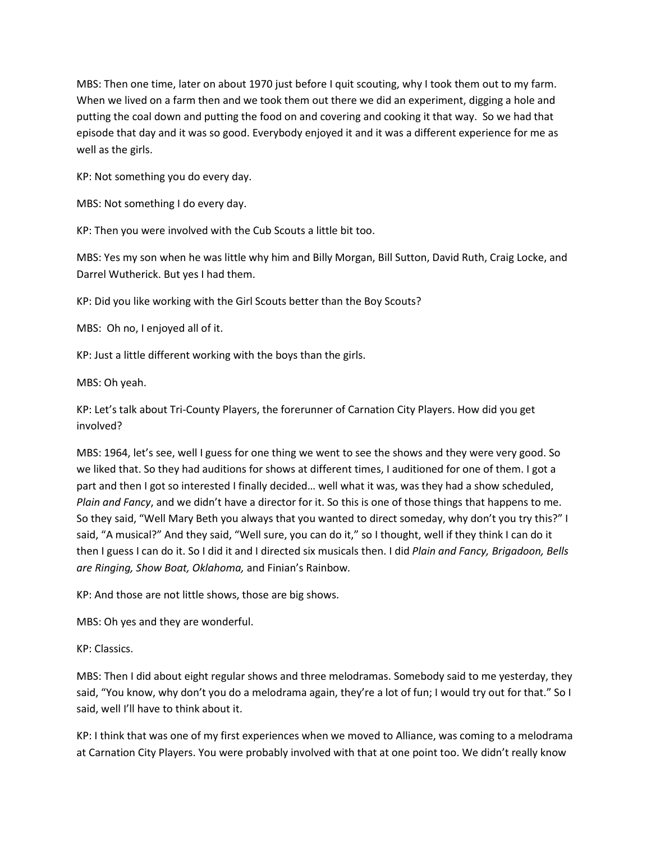MBS: Then one time, later on about 1970 just before I quit scouting, why I took them out to my farm. When we lived on a farm then and we took them out there we did an experiment, digging a hole and putting the coal down and putting the food on and covering and cooking it that way. So we had that episode that day and it was so good. Everybody enjoyed it and it was a different experience for me as well as the girls.

KP: Not something you do every day.

MBS: Not something I do every day.

KP: Then you were involved with the Cub Scouts a little bit too.

MBS: Yes my son when he was little why him and Billy Morgan, Bill Sutton, David Ruth, Craig Locke, and Darrel Wutherick. But yes I had them.

KP: Did you like working with the Girl Scouts better than the Boy Scouts?

MBS: Oh no, I enjoyed all of it.

KP: Just a little different working with the boys than the girls.

MBS: Oh yeah.

KP: Let's talk about Tri-County Players, the forerunner of Carnation City Players. How did you get involved?

MBS: 1964, let's see, well I guess for one thing we went to see the shows and they were very good. So we liked that. So they had auditions for shows at different times, I auditioned for one of them. I got a part and then I got so interested I finally decided… well what it was, was they had a show scheduled, *Plain and Fancy*, and we didn't have a director for it. So this is one of those things that happens to me. So they said, "Well Mary Beth you always that you wanted to direct someday, why don't you try this?" I said, "A musical?" And they said, "Well sure, you can do it," so I thought, well if they think I can do it then I guess I can do it. So I did it and I directed six musicals then. I did *Plain and Fancy, Brigadoon, Bells are Ringing, Show Boat, Oklahoma,* and Finian's Rainbow*.* 

KP: And those are not little shows, those are big shows.

MBS: Oh yes and they are wonderful.

KP: Classics.

MBS: Then I did about eight regular shows and three melodramas. Somebody said to me yesterday, they said, "You know, why don't you do a melodrama again, they're a lot of fun; I would try out for that." So I said, well I'll have to think about it.

KP: I think that was one of my first experiences when we moved to Alliance, was coming to a melodrama at Carnation City Players. You were probably involved with that at one point too. We didn't really know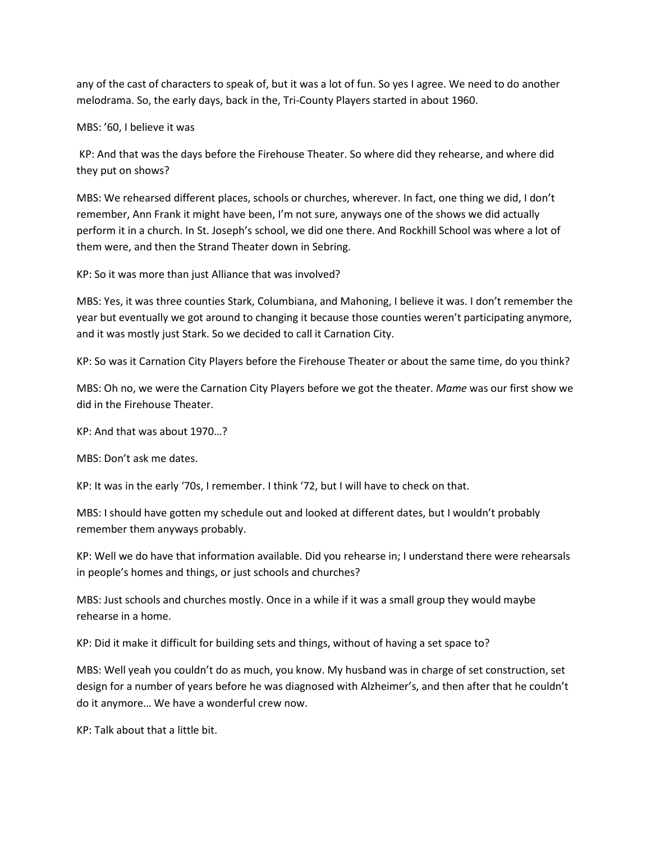any of the cast of characters to speak of, but it was a lot of fun. So yes I agree. We need to do another melodrama. So, the early days, back in the, Tri-County Players started in about 1960.

MBS: '60, I believe it was

KP: And that was the days before the Firehouse Theater. So where did they rehearse, and where did they put on shows?

MBS: We rehearsed different places, schools or churches, wherever. In fact, one thing we did, I don't remember, Ann Frank it might have been, I'm not sure, anyways one of the shows we did actually perform it in a church. In St. Joseph's school, we did one there. And Rockhill School was where a lot of them were, and then the Strand Theater down in Sebring.

KP: So it was more than just Alliance that was involved?

MBS: Yes, it was three counties Stark, Columbiana, and Mahoning, I believe it was. I don't remember the year but eventually we got around to changing it because those counties weren't participating anymore, and it was mostly just Stark. So we decided to call it Carnation City.

KP: So was it Carnation City Players before the Firehouse Theater or about the same time, do you think?

MBS: Oh no, we were the Carnation City Players before we got the theater. *Mame* was our first show we did in the Firehouse Theater.

KP: And that was about 1970…?

MBS: Don't ask me dates.

KP: It was in the early '70s, I remember. I think '72, but I will have to check on that.

MBS: I should have gotten my schedule out and looked at different dates, but I wouldn't probably remember them anyways probably.

KP: Well we do have that information available. Did you rehearse in; I understand there were rehearsals in people's homes and things, or just schools and churches?

MBS: Just schools and churches mostly. Once in a while if it was a small group they would maybe rehearse in a home.

KP: Did it make it difficult for building sets and things, without of having a set space to?

MBS: Well yeah you couldn't do as much, you know. My husband was in charge of set construction, set design for a number of years before he was diagnosed with Alzheimer's, and then after that he couldn't do it anymore… We have a wonderful crew now.

KP: Talk about that a little bit.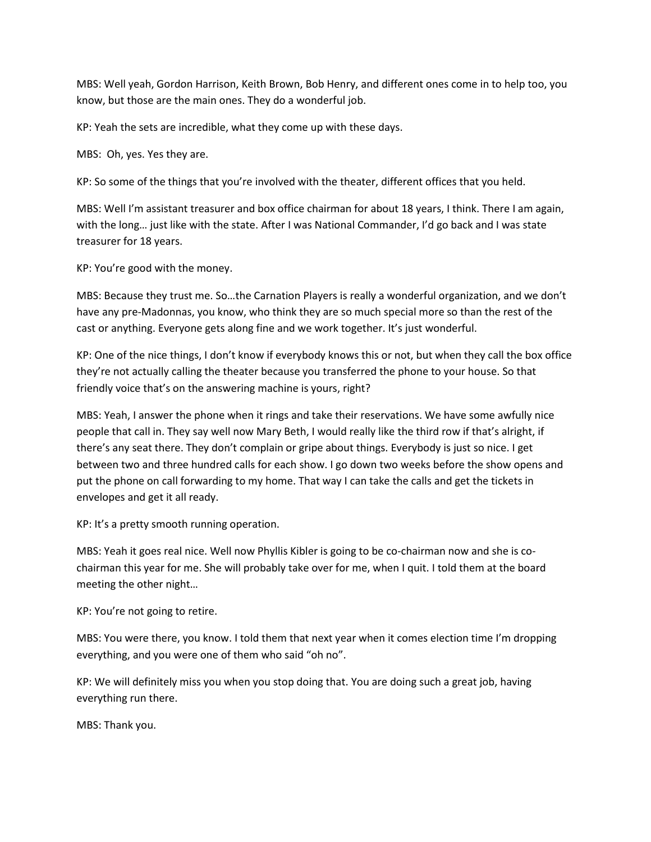MBS: Well yeah, Gordon Harrison, Keith Brown, Bob Henry, and different ones come in to help too, you know, but those are the main ones. They do a wonderful job.

KP: Yeah the sets are incredible, what they come up with these days.

MBS: Oh, yes. Yes they are.

KP: So some of the things that you're involved with the theater, different offices that you held.

MBS: Well I'm assistant treasurer and box office chairman for about 18 years, I think. There I am again, with the long… just like with the state. After I was National Commander, I'd go back and I was state treasurer for 18 years.

KP: You're good with the money.

MBS: Because they trust me. So…the Carnation Players is really a wonderful organization, and we don't have any pre-Madonnas, you know, who think they are so much special more so than the rest of the cast or anything. Everyone gets along fine and we work together. It's just wonderful.

KP: One of the nice things, I don't know if everybody knows this or not, but when they call the box office they're not actually calling the theater because you transferred the phone to your house. So that friendly voice that's on the answering machine is yours, right?

MBS: Yeah, I answer the phone when it rings and take their reservations. We have some awfully nice people that call in. They say well now Mary Beth, I would really like the third row if that's alright, if there's any seat there. They don't complain or gripe about things. Everybody is just so nice. I get between two and three hundred calls for each show. I go down two weeks before the show opens and put the phone on call forwarding to my home. That way I can take the calls and get the tickets in envelopes and get it all ready.

KP: It's a pretty smooth running operation.

MBS: Yeah it goes real nice. Well now Phyllis Kibler is going to be co-chairman now and she is cochairman this year for me. She will probably take over for me, when I quit. I told them at the board meeting the other night…

KP: You're not going to retire.

MBS: You were there, you know. I told them that next year when it comes election time I'm dropping everything, and you were one of them who said "oh no".

KP: We will definitely miss you when you stop doing that. You are doing such a great job, having everything run there.

MBS: Thank you.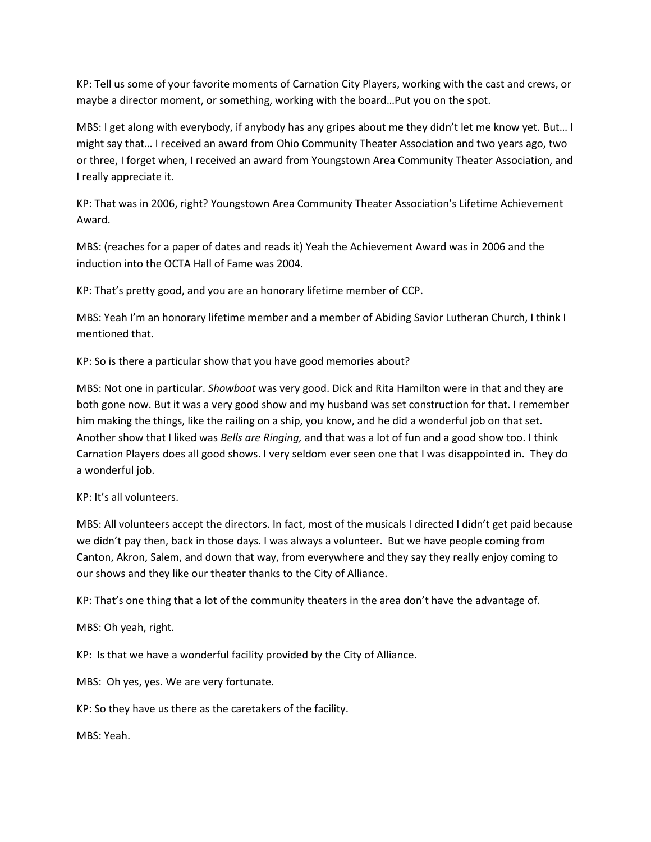KP: Tell us some of your favorite moments of Carnation City Players, working with the cast and crews, or maybe a director moment, or something, working with the board…Put you on the spot.

MBS: I get along with everybody, if anybody has any gripes about me they didn't let me know yet. But… I might say that… I received an award from Ohio Community Theater Association and two years ago, two or three, I forget when, I received an award from Youngstown Area Community Theater Association, and I really appreciate it.

KP: That was in 2006, right? Youngstown Area Community Theater Association's Lifetime Achievement Award.

MBS: (reaches for a paper of dates and reads it) Yeah the Achievement Award was in 2006 and the induction into the OCTA Hall of Fame was 2004.

KP: That's pretty good, and you are an honorary lifetime member of CCP.

MBS: Yeah I'm an honorary lifetime member and a member of Abiding Savior Lutheran Church, I think I mentioned that.

KP: So is there a particular show that you have good memories about?

MBS: Not one in particular. *Showboat* was very good. Dick and Rita Hamilton were in that and they are both gone now. But it was a very good show and my husband was set construction for that. I remember him making the things, like the railing on a ship, you know, and he did a wonderful job on that set. Another show that I liked was *Bells are Ringing,* and that was a lot of fun and a good show too. I think Carnation Players does all good shows. I very seldom ever seen one that I was disappointed in. They do a wonderful job.

KP: It's all volunteers.

MBS: All volunteers accept the directors. In fact, most of the musicals I directed I didn't get paid because we didn't pay then, back in those days. I was always a volunteer. But we have people coming from Canton, Akron, Salem, and down that way, from everywhere and they say they really enjoy coming to our shows and they like our theater thanks to the City of Alliance.

KP: That's one thing that a lot of the community theaters in the area don't have the advantage of.

MBS: Oh yeah, right.

KP: Is that we have a wonderful facility provided by the City of Alliance.

MBS: Oh yes, yes. We are very fortunate.

KP: So they have us there as the caretakers of the facility.

MBS: Yeah.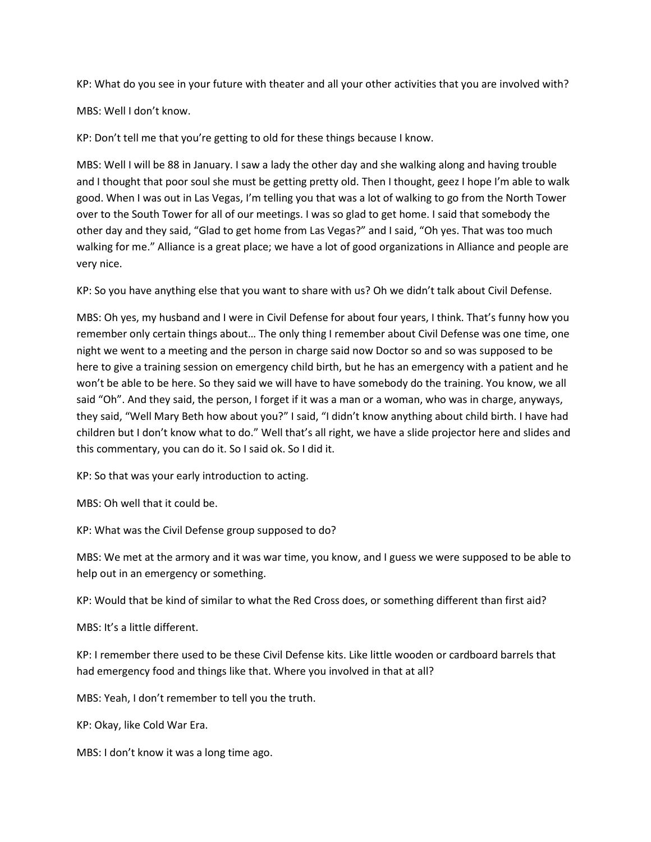KP: What do you see in your future with theater and all your other activities that you are involved with?

MBS: Well I don't know.

KP: Don't tell me that you're getting to old for these things because I know.

MBS: Well I will be 88 in January. I saw a lady the other day and she walking along and having trouble and I thought that poor soul she must be getting pretty old. Then I thought, geez I hope I'm able to walk good. When I was out in Las Vegas, I'm telling you that was a lot of walking to go from the North Tower over to the South Tower for all of our meetings. I was so glad to get home. I said that somebody the other day and they said, "Glad to get home from Las Vegas?" and I said, "Oh yes. That was too much walking for me." Alliance is a great place; we have a lot of good organizations in Alliance and people are very nice.

KP: So you have anything else that you want to share with us? Oh we didn't talk about Civil Defense.

MBS: Oh yes, my husband and I were in Civil Defense for about four years, I think. That's funny how you remember only certain things about… The only thing I remember about Civil Defense was one time, one night we went to a meeting and the person in charge said now Doctor so and so was supposed to be here to give a training session on emergency child birth, but he has an emergency with a patient and he won't be able to be here. So they said we will have to have somebody do the training. You know, we all said "Oh". And they said, the person, I forget if it was a man or a woman, who was in charge, anyways, they said, "Well Mary Beth how about you?" I said, "I didn't know anything about child birth. I have had children but I don't know what to do." Well that's all right, we have a slide projector here and slides and this commentary, you can do it. So I said ok. So I did it.

KP: So that was your early introduction to acting.

MBS: Oh well that it could be.

KP: What was the Civil Defense group supposed to do?

MBS: We met at the armory and it was war time, you know, and I guess we were supposed to be able to help out in an emergency or something.

KP: Would that be kind of similar to what the Red Cross does, or something different than first aid?

MBS: It's a little different.

KP: I remember there used to be these Civil Defense kits. Like little wooden or cardboard barrels that had emergency food and things like that. Where you involved in that at all?

MBS: Yeah, I don't remember to tell you the truth.

KP: Okay, like Cold War Era.

MBS: I don't know it was a long time ago.